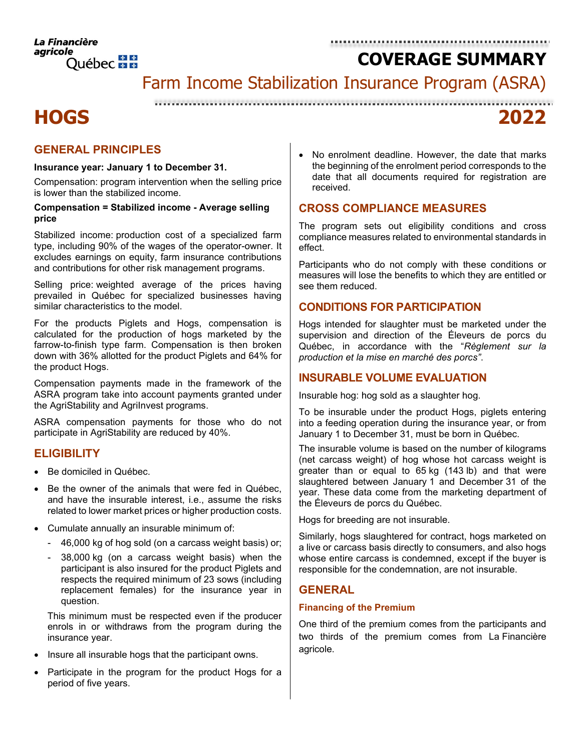Farm Income Stabilization Insurance Program (ASRA)

# **HOGS 2022**

## **GENERAL PRINCIPLES**

#### **Insurance year: January 1 to December 31.**

Compensation: program intervention when the selling price is lower than the stabilized income.

#### **Compensation = Stabilized income - Average selling price**

Stabilized income: production cost of a specialized farm type, including 90% of the wages of the operator-owner. It excludes earnings on equity, farm insurance contributions and contributions for other risk management programs.

Selling price: weighted average of the prices having prevailed in Québec for specialized businesses having similar characteristics to the model.

For the products Piglets and Hogs, compensation is calculated for the production of hogs marketed by the farrow-to-finish type farm. Compensation is then broken down with 36% allotted for the product Piglets and 64% for the product Hogs.

Compensation payments made in the framework of the ASRA program take into account payments granted under the AgriStability and AgriInvest programs.

ASRA compensation payments for those who do not participate in AgriStability are reduced by 40%.

## **ELIGIBILITY**

- Be domiciled in Québec.
- Be the owner of the animals that were fed in Québec. and have the insurable interest, i.e., assume the risks related to lower market prices or higher production costs.
- Cumulate annually an insurable minimum of:
	- 46,000 kg of hog sold (on a carcass weight basis) or;
	- 38,000 kg (on a carcass weight basis) when the participant is also insured for the product Piglets and respects the required minimum of 23 sows (including replacement females) for the insurance year in question.

This minimum must be respected even if the producer enrols in or withdraws from the program during the insurance year.

- Insure all insurable hogs that the participant owns.
- Participate in the program for the product Hogs for a period of five years.

No enrolment deadline. However, the date that marks the beginning of the enrolment period corresponds to the date that all documents required for registration are received.

## **CROSS COMPLIANCE MEASURES**

The program sets out eligibility conditions and cross compliance measures related to environmental standards in effect.

Participants who do not comply with these conditions or measures will lose the benefits to which they are entitled or see them reduced.

## **CONDITIONS FOR PARTICIPATION**

Hogs intended for slaughter must be marketed under the supervision and direction of the Éleveurs de porcs du Québec, in accordance with the "*Règlement sur la production et la mise en marché des porcs"*.

## **INSURABLE VOLUME EVALUATION**

Insurable hog: hog sold as a slaughter hog.

To be insurable under the product Hogs, piglets entering into a feeding operation during the insurance year, or from January 1 to December 31, must be born in Québec.

The insurable volume is based on the number of kilograms (net carcass weight) of hog whose hot carcass weight is greater than or equal to 65 kg (143 lb) and that were slaughtered between January 1 and December 31 of the year. These data come from the marketing department of the Éleveurs de porcs du Québec.

Hogs for breeding are not insurable.

Similarly, hogs slaughtered for contract, hogs marketed on a live or carcass basis directly to consumers, and also hogs whose entire carcass is condemned, except if the buyer is responsible for the condemnation, are not insurable.

## **GENERAL**

### **Financing of the Premium**

One third of the premium comes from the participants and two thirds of the premium comes from La Financière agricole.